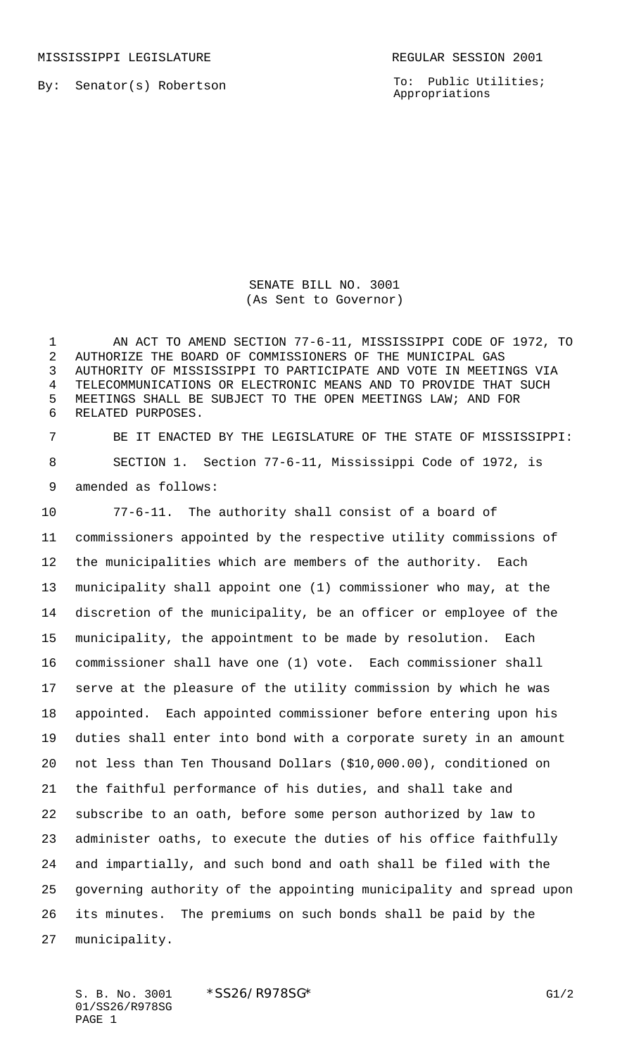MISSISSIPPI LEGISLATURE **REGULAR SESSION 2001** 

By: Senator(s) Robertson

To: Public Utilities; Appropriations

SENATE BILL NO. 3001 (As Sent to Governor)

 AN ACT TO AMEND SECTION 77-6-11, MISSISSIPPI CODE OF 1972, TO AUTHORIZE THE BOARD OF COMMISSIONERS OF THE MUNICIPAL GAS AUTHORITY OF MISSISSIPPI TO PARTICIPATE AND VOTE IN MEETINGS VIA TELECOMMUNICATIONS OR ELECTRONIC MEANS AND TO PROVIDE THAT SUCH MEETINGS SHALL BE SUBJECT TO THE OPEN MEETINGS LAW; AND FOR RELATED PURPOSES.

 BE IT ENACTED BY THE LEGISLATURE OF THE STATE OF MISSISSIPPI: SECTION 1. Section 77-6-11, Mississippi Code of 1972, is amended as follows:

 77-6-11. The authority shall consist of a board of commissioners appointed by the respective utility commissions of the municipalities which are members of the authority. Each municipality shall appoint one (1) commissioner who may, at the discretion of the municipality, be an officer or employee of the municipality, the appointment to be made by resolution. Each commissioner shall have one (1) vote. Each commissioner shall serve at the pleasure of the utility commission by which he was appointed. Each appointed commissioner before entering upon his duties shall enter into bond with a corporate surety in an amount not less than Ten Thousand Dollars (\$10,000.00), conditioned on the faithful performance of his duties, and shall take and subscribe to an oath, before some person authorized by law to administer oaths, to execute the duties of his office faithfully and impartially, and such bond and oath shall be filed with the governing authority of the appointing municipality and spread upon its minutes. The premiums on such bonds shall be paid by the municipality.

S. B. No. 3001 \* SS26/R978SG\* G1/2 01/SS26/R978SG PAGE 1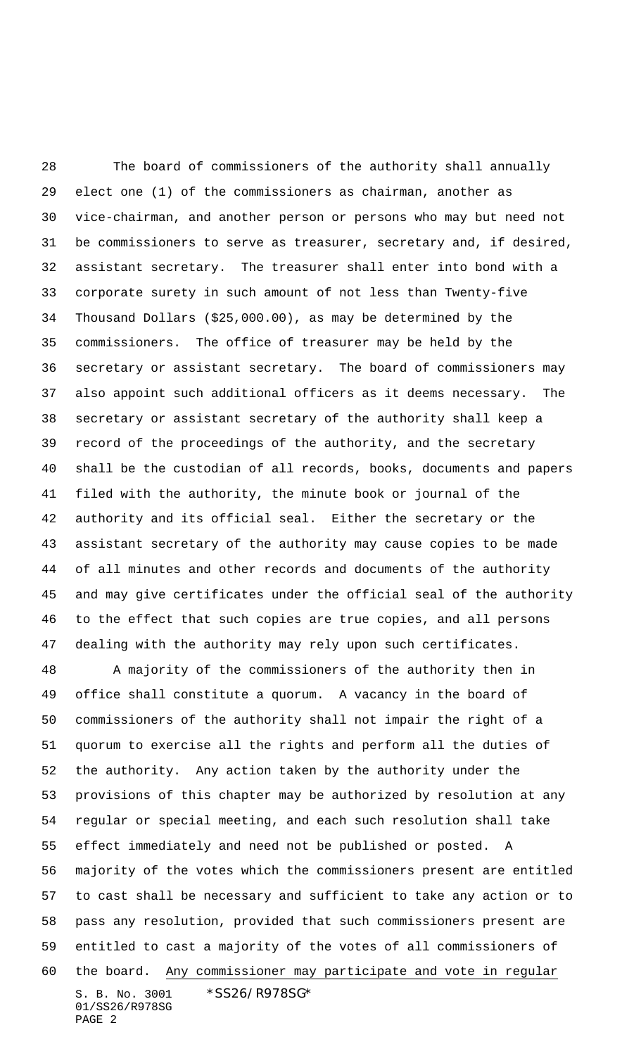The board of commissioners of the authority shall annually elect one (1) of the commissioners as chairman, another as vice-chairman, and another person or persons who may but need not be commissioners to serve as treasurer, secretary and, if desired, assistant secretary. The treasurer shall enter into bond with a corporate surety in such amount of not less than Twenty-five Thousand Dollars (\$25,000.00), as may be determined by the commissioners. The office of treasurer may be held by the secretary or assistant secretary. The board of commissioners may also appoint such additional officers as it deems necessary. The secretary or assistant secretary of the authority shall keep a record of the proceedings of the authority, and the secretary shall be the custodian of all records, books, documents and papers filed with the authority, the minute book or journal of the authority and its official seal. Either the secretary or the assistant secretary of the authority may cause copies to be made of all minutes and other records and documents of the authority and may give certificates under the official seal of the authority to the effect that such copies are true copies, and all persons dealing with the authority may rely upon such certificates.

S. B. No. 3001 \*SS26/R978SG\* 01/SS26/R978SG PAGE 2 A majority of the commissioners of the authority then in office shall constitute a quorum. A vacancy in the board of commissioners of the authority shall not impair the right of a quorum to exercise all the rights and perform all the duties of the authority. Any action taken by the authority under the provisions of this chapter may be authorized by resolution at any regular or special meeting, and each such resolution shall take effect immediately and need not be published or posted. A majority of the votes which the commissioners present are entitled to cast shall be necessary and sufficient to take any action or to pass any resolution, provided that such commissioners present are entitled to cast a majority of the votes of all commissioners of the board. Any commissioner may participate and vote in regular